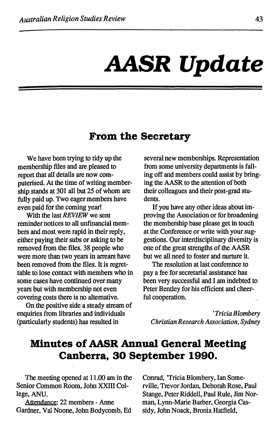# **AASR Update**

## **From the Secretary**

We have been trying to tidy up the membership files and are pleased to report that all details are now computerised. At the time of writing membership stands at 301 all but 25 of whom are fully paid up. Two eager members have even paid for the coming year!

With the last *REVIEW* we sent reminder notices to all unfinancial members and most were rapid in their reply, either paying their subs or asking to be removed from the files. 38 people who were more than two years in arrears have been removed from the files. It is regrettable to lose contact with members who in some cases have continued over many years but with membership not even covering costs there is no alternative.

On the positive side a steady stream of enquiries from libraries and individuals (particularly students) has resulted in

several new memberships. Representation from some university departments is falling off and members could assist by bringing the AASR to the attention of both their colleagues and their post-grad students.

If you have any other ideas about improving the Association or for broadening the membership base please get in touch at the Conference or write with your suggestions. Our interdisciplinary diversity is one of the great strengths of the AASR but we all need to foster and nurture it.

The resolution at last conference to pay a fee for secretarial assistance has been very successful and I am indebted to Peter Bentley for his efficient and cheerful cooperation.

*'Tricia Blombery Christian Research Association, Sydney* 

# **Minutes of AASR Annual General Meeting Canberra, 30 September 1990.**

The meeting opened at 11.00 am in the Senior Common Room, John XXIII College,ANU.

Attendance: 22 members - Anne Gardner, Val Noone, John Bodycomb, Ed

Conrad, 'Tricia Blombery, Ian Somerville, Trevor Jordan, Deborah Rose, Paul Stange, Peter Riddell, Paul Rule, Jim Norman, Lynn-Marie Barber, Georgia Cassidy, John Noack, Bronia Hatfield,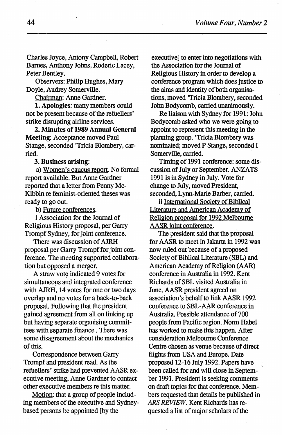Charles Joyce, Antony Campbell, Robert Barnes, Anthony Johns, Roderic Lacey, Peter Bentley.

Observers: Philip Hughes, Mary Doyle, Audrey Somerville.

Chairman: Anne Gardner.

1. Apologies: many members could not be present because of the refuellers' strike disrupting airline services.

2. Minutes of 1989 Annual General Meeting: Acceptance moved Paul Stange, seconded 'Tricia Blombery, carried.

3. Business arising:

a) Women's caucus report. No formal report available. But Anne Gardner reported that a letter from Penny Mc-Kibbin re feminist -oriented theses was ready to go out.

b) Future conferences.

i Association for the Journal of Religious History proposal, per Garry Trompf Sydney, for joint conference.

There was discussion of AJRH proposal per Garry Trompf for joint conference. The meeting supported collaboration but opposed a merger.

A straw vote indicated 9 votes for ) simultaneous and integrated conference with AJRH, 14 votes for one or two days overlap and no votes for a back-to-hack proposal. Following that the president gained agreement from all on linking up but having separate organising committees with separate finance . There was some disagreement about the mechanics of this.

Correspondence between Garry Trompf and president read. As the refuellers' strike had prevented AASR executive meeting, Anne Gardner to contact other executive members re this matter.

Motion: that a group of people including members of the executive and Sydneybased persons be appointed [by the

executive] to enter into negotiations with the Association for the Journal of Religious History in order to develop a conference program which does justice to the aims and identity of both organisations, moved 'Tricia Blombery, seconded John Bodycomb, carried unanimously.

Re liaison with Sydney for 1991: John Bodycomb asked who we were going to appoint to represent this meeting in the planning group. 'Tricia Blombery was nominated; moved P Stange, seconded I Somerville, carried.

Timing of 1991 conference: some discussion of July or September. ANZATS 1991 is in Sydney in July. Vote for change to July, moved President, seconded, Lynn-Marie Barber, carried.

ii International Society of Biblical Literature and American Academy of Religion proposal for 1992 Melbourne AASR joint conference.

The president said that the proposal for AASR to meet in Jakarta in 1992 was now ruled out because of a proposed Society of Biblical Literature (SBL) and American Academy of Religion (AAR) conference in Australia in 1992. Kent Richards of SBL visited Australia in June. AASR president agreed on association's behalf to link AASR 1992 conference to SBL-AAR conference in Australia. Possible attendance of 700 people from Pacific region. Norm Habel has worked to make this happen. After consideration Melbourne Conference Centre chosen as venue because of direct flights from USA and Europe. Date proposed 12-16 July 1992. Papers have \_\_ been called for and will close in September 1991. President is seeking comments on draft topics for that conference. Members requested that details be published in *ARS REVIEW.* Kent Richards has requested a list of major scholars of the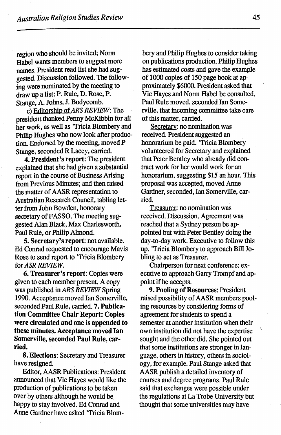region who should be invited; Nonn Habel wants members to suggest more names. President read list she had suggested. Discussion followed. The following were nominated by the meeting to draw up a list: P. Rule, D. Rose, P. Stange, A. Johns, J. Bodycomb.

c) Editorship *ofARS REVIEW:* The president thanked Penny McKibbin for all her work, as well as 'Tricia Blombery and Philip Hughes who now look after production. Endorsed by the meeting, moved P Stange, seconded R Lacey, carried.

4. President's report: The president explained that she had given a substantial report in the course of Business Arising from Previous Minutes; and then raised the matter of AASR representation to Australian Research Council, tabling letter from John Bowden, honorary secretary of FASSO. The meeting suggested Alan Black, Max Charlesworth, Paul Rule, or Philip Almond.

*S.* Secretary's report: not available. Ed Conrad requested to encourage Mavis Rose to send report to 'Tricia Blombery for *ASR REVIEW.* 

6. Treasurer's report: Copies were given to each member present. A copy was published in *ARS REVIEW* Spring 1990. Acceptance moved Ian Somerville, seconded Paul Rule, carried. 7. Publication Committee Chair Report: Copies were circulated and one is appended to these minutes. Acceptance moved Ian Somerville, seconded Paul Rule, carried.

8. Elections: Secretary and Treasurer have resigned.

Editor, AASR Publications: President announced that Vic Hayes would like the production of publications to be taken over by others although he would be happy to stay involved. Ed Conrad and Anne Gardner have asked 'Tricia Blom-

bery and Philip Hughes to consider taking on publications production. Philip Hughes has estimated costs and gave the example of 1000 copies of 150 page book at approximately \$6000. President asked that Vic Hayes and Nonn Habel be consulted. Paul Rule moved, seconded Ian Somerville, that incoming committee take care of this matter, carried.

Secretary: no nomination was. received. President suggested an honorarium be paid. 'Tricia Blombery volunteered for Secretary and explained that Peter Bentley who already did contract work for her would work for an honorarium, suggesting \$15 an hour. This proposal was accepted, moved Anne Gardner, seconded, Ian Somerville, carried.

Treasurer: no nomination was received. Discussion. Agreement was reached that a Sydney person be appointed but with Peter Bentley doing the day-to-day work. Executive to follow this up. 'Tricia Blombery to approach Bill Jobling to act as Treasurer.

Chaitperson for next conference: executive to approach Garry Trompf and appoint if he accepts.

9. Pooling of Resources: President raised possibility of AASR members pooling resources by considering fonns of agreement for students to spend a semester at another institution when their own institution did not have the expertise sought and the other did. She pointed out that some institutions are stronger in language, others in history, others in sociology, for example. Paul Stange asked that AASR publish a detailed inventory of courses and degree programs. Paul Rule said that exchanges were possible under the regulations at La Trobe University but thought that some universities may have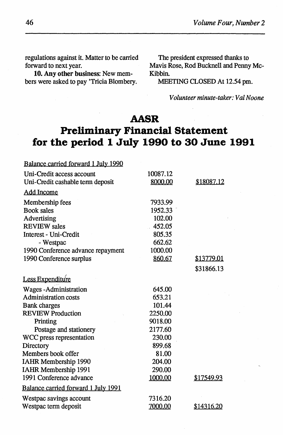regulations against it. Matter to be carried forward to next year.

10. Any other business: New members were asked to pay 'Tricia Blombery.

The president expressed thanks to Mavis Rose, Rod Bucknell and Penny Mc-Kibbin.

MEETING CLOSED At 12.54 pm.

*Volunteer minute-taker: Val Noone* 

## **AASR**

# **Preliminary Financial Statement for the period 1 July 1990 to 30 June 1991**

| Balance carried forward 1 July 1990 |          |            |
|-------------------------------------|----------|------------|
| Uni-Credit access account           | 10087.12 |            |
| Uni-Credit cashable term deposit    | 8000.00  | \$18087.12 |
| <b>Add Income</b>                   |          |            |
| Membership fees                     | 7933.99  |            |
| <b>Book sales</b>                   | 1952.33  |            |
| Advertising                         | 102.00   |            |
| <b>REVIEW</b> sales                 | 452.05   |            |
| Interest - Uni-Credit               | 805.35   |            |
| - Westpac                           | 662.62   |            |
| 1990 Conference advance repayment   | 1000.00  |            |
| 1990 Conference surplus             | 860.67   | \$13779.01 |
|                                     |          | \$31866.13 |
| Less Expenditure                    |          |            |
| <b>Wages-Administration</b>         | 645.00   |            |
| <b>Administration costs</b>         | 653.21   |            |
| <b>Bank charges</b>                 | 101.44   |            |
| <b>REVIEW Production</b>            | 2250.00  |            |
| Printing                            | 9018.00  |            |
| Postage and stationery              | 2177.60  |            |
| WCC press representation            | 230.00   |            |
| Directory                           | 899.68   |            |
| Members book offer                  | 81.00    |            |
| IAHR Membership 1990                | 204.00   |            |
| IAHR Membership 1991                | 290.00   |            |
| 1991 Conference advance             | 1000.00  | \$17549.93 |
| Balance carried forward 1 July 1991 |          |            |
| Westpac savings account             | 7316.20  |            |
| Westpac term deposit                | 7000.00  | \$14316.20 |
|                                     |          |            |